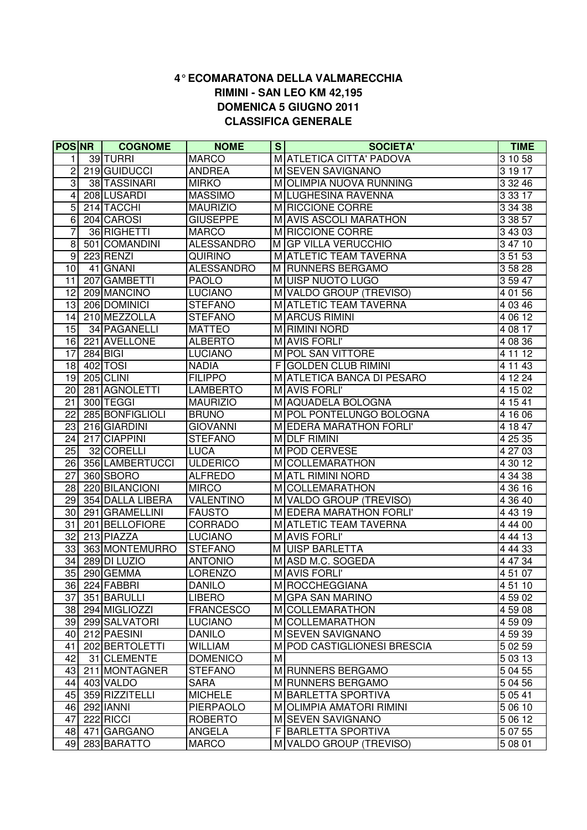## **CLASSIFICA GENERALE 4° ECOMARATONA DELLA VALMARECCHIA RIMINI - SAN LEO KM 42,195 DOMENICA 5 GIUGNO 2011**

|                  | <b>POSNR</b> | <b>COGNOME</b>             | <b>NOME</b>            | S  | <b>SOCIETA'</b>                          | <b>TIME</b>        |
|------------------|--------------|----------------------------|------------------------|----|------------------------------------------|--------------------|
|                  |              | 39 TURRI                   | <b>MARCO</b>           |    | M ATLETICA CITTA' PADOVA                 | 3 10 58            |
| 2                |              | 219 GUIDUCCI               | <b>ANDREA</b>          |    | M SEVEN SAVIGNANO                        | 31917              |
| 3                |              | 38 TASSINARI               | <b>MIRKO</b>           |    | M OLIMPIA NUOVA RUNNING                  | 3 3 2 4 6          |
| 4                |              | 208 LUSARDI                | <b>MASSIMO</b>         |    | M LUGHESINA RAVENNA                      | $3\,33\,17$        |
| $\overline{5}$   |              | 214 TACCHI                 | <b>MAURIZIO</b>        |    | M RICCIONE CORRE                         | 3 34 38            |
| $\overline{6}$   |              | 204 CAROSI                 | <b>GIUSEPPE</b>        |    | M AVIS ASCOLI MARATHON                   | 3 38 57            |
| 7                |              | 36 RIGHETTI                | <b>MARCO</b>           |    | M RICCIONE CORRE                         | 3 43 03            |
| 8                |              | 501 COMANDINI              | <b>ALESSANDRO</b>      |    | M GP VILLA VERUCCHIO                     | 3 47 10            |
| $\boldsymbol{9}$ |              | 223 RENZI                  | <b>QUIRINO</b>         |    | M ATLETIC TEAM TAVERNA                   | 3 51 53            |
| $\overline{10}$  |              | 41 GNANI                   | <b>ALESSANDRO</b>      |    | M RUNNERS BERGAMO                        | 3 58 28            |
| 11               |              | 207 GAMBETTI               | <b>PAOLO</b>           |    | MUISP NUOTO LUGO                         | 3 59 47            |
| 12               |              | 209 MANCINO                | <b>LUCIANO</b>         |    | M VALDO GROUP (TREVISO)                  | 4 01 56            |
| 13               |              | 206 DOMINICI               | <b>STEFANO</b>         |    | M ATLETIC TEAM TAVERNA                   | 4 03 46            |
| 14               |              | 210 MEZZOLLA               | <b>STEFANO</b>         |    | M ARCUS RIMINI                           | 40612              |
| 15               |              | 34 PAGANELLI               | <b>MATTEO</b>          |    | M RIMINI NORD                            | 4 08 17            |
| 16               |              | 221 AVELLONE               | <b>ALBERTO</b>         |    | M AVIS FORLI'                            | 4 08 36            |
| 17               |              | $284$ BIGI                 | <b>LUCIANO</b>         |    | M POL SAN VITTORE                        | 4 11 12            |
| $\overline{18}$  |              | 402 TOSI                   | <b>NADIA</b>           | FΙ | <b>GOLDEN CLUB RIMINI</b>                | 4 11 43            |
| 19               |              | 205 CLINI                  | <b>FILIPPO</b>         |    | M ATLETICA BANCA DI PESARO               | 4 12 24            |
| 20               |              | 281 AGNOLETTI              | <b>LAMBERTO</b>        |    | M AVIS FORLI'                            | 4 15 02            |
| 21               |              | 300 TEGGI                  | <b>MAURIZIO</b>        |    | M AQUADELA BOLOGNA                       | 4 15 41            |
| 22               |              | 285 BONFIGLIOLI            | <b>BRUNO</b>           |    | M POL PONTELUNGO BOLOGNA                 | 4 16 06            |
| 23               |              | 216 GIARDINI               | <b>GIOVANNI</b>        |    | M EDERA MARATHON FORLI'                  | 4 18 47            |
| 24               |              | 217 CIAPPINI               | <b>STEFANO</b>         |    | <b>MDLF RIMINI</b>                       | 4 25 35            |
| 25               |              | 32 CORELLI                 | <b>LUCA</b>            |    | M POD CERVESE                            | 4 27 03            |
| 26               |              | 356 LAMBERTUCCI            | <b>ULDERICO</b>        |    | M COLLEMARATHON                          | 4 30 12            |
| 27               |              | 360 SBORO                  | <b>ALFREDO</b>         |    | MATL RIMINI NORD                         | 4 34 38            |
| 28               |              | 220 BILANCIONI             | <b>MIRCO</b>           |    | M COLLEMARATHON                          | 4 36 16            |
| 29               |              | 354 DALLA LIBERA           | <b>VALENTINO</b>       |    | M VALDO GROUP (TREVISO)                  | 4 36 40            |
| 30               |              | 291 GRAMELLINI             | <b>FAUSTO</b>          |    | M EDERA MARATHON FORLI'                  | 4 4 3 1 9          |
| 31               |              | 201 BELLOFIORE             | <b>CORRADO</b>         |    | M ATLETIC TEAM TAVERNA                   | 4 44 00            |
| 32               |              | 213 PIAZZA                 | <b>LUCIANO</b>         |    | M AVIS FORLI'                            | 4 44 13            |
| 33               |              | 363 MONTEMURRO             | <b>STEFANO</b>         |    | M UISP BARLETTA                          | 4 44 33            |
| 34               |              | 289 DI LUZIO               | <b>ANTONIO</b>         |    | M ASD M.C. SOGEDA                        | 4 47 34            |
| 35               |              | 290 GEMMA                  | LORENZO                |    | <b>M</b> AVIS FORLI'                     | 45107              |
| 36               |              | 224 FABBRI                 | DANILO                 |    | M   ROCCHEGGIANA                         | 4 51 10            |
| 37               |              | 351 BARULLI                | <b>LIBERO</b>          |    | MIGPA SAN MARINO                         | 4 59 02            |
| 38               |              | 294 MIGLIOZZI              | <b>FRANCESCO</b>       |    | <b>M</b> COLLEMARATHON                   | 45908              |
| 39               |              | 299 SALVATORI              | <b>LUCIANO</b>         |    | M COLLEMARATHON                          | 4 59 09            |
| 40               |              | 212 PAESINI                | <b>DANILO</b>          |    | M SEVEN SAVIGNANO                        | 4 59 39            |
| 41               |              | 202 BERTOLETTI             | WILLIAM                |    | M POD CASTIGLIONESI BRESCIA              | 5 02 59            |
| 42               |              | 31 CLEMENTE                | <b>DOMENICO</b>        | M  |                                          | 5 03 13            |
| 43<br>44         |              | 211 MONTAGNER<br>403 VALDO | <b>STEFANO</b>         |    | M RUNNERS BERGAMO                        | 5 04 55            |
|                  |              | 359 RIZZITELLI             | SARA<br><b>MICHELE</b> |    | M RUNNERS BERGAMO<br>M BARLETTA SPORTIVA | 5 04 56            |
| 45               |              | 292 IANNI                  | <b>PIERPAOLO</b>       |    | M OLIMPIA AMATORI RIMINI                 | 5 0 5 4 1          |
| 46<br>47         |              | 222 RICCI                  | <b>ROBERTO</b>         |    | M SEVEN SAVIGNANO                        | 5 06 10<br>5 06 12 |
| 48               |              | 471 GARGANO                | ANGELA                 |    | F BARLETTA SPORTIVA                      | 5 07 55            |
| 49               |              | 283 BARATTO                | <b>MARCO</b>           |    | M VALDO GROUP (TREVISO)                  | 5 08 01            |
|                  |              |                            |                        |    |                                          |                    |